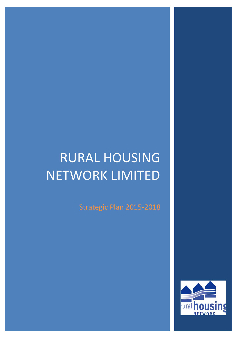# RURAL HOUSING NETWORK LIMITED

Strategic Plan 2015-2018

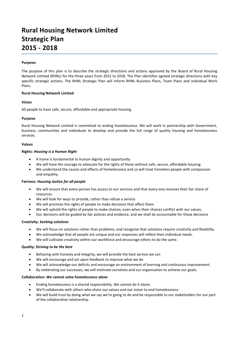# **Rural Housing Network Limited Strategic Plan 2015 - 2018**

#### **Purpose:**

The purpose of this plan is to describe the strategic directions and actions approved by the Board of Rural Housing Network Limited (RHNL) for the three years from 2015 to 2018. The Plan identifies agreed strategic directions with key specific strategic actions. The RHNL Strategic Plan will inform RHNL Business Plans, Team Plans and individual Work Plans.

#### **Rural Housing Network Limited**

#### **Vision**

All people to have safe, secure, affordable and appropriate housing

#### **Purpose**

Rural Housing Network Limited is committed to ending homelessness. We will work in partnership with Government, business, communities and individuals to develop and provide the full range of quality housing and homelessness services.

#### **Values**

#### **Rights:** *Housing is a Human Right*

- A home is fundamental to human dignity and opportunity
- We will have the courage to advocate for the rights of those without safe, secure, affordable housing.
- We understand the causes and effects of homelessness and so will treat homeless people with compassion and empathy.

#### **Fairness:** *Housing Justice for all people*

- We will ensure that every person has access to our services and that every-one receives their fair share of resources
- We will look for ways to provide, rather than refuse a service
- We will promote the rights of people to make decisions that affect them
- We will uphold the rights of people to make choices, even when their choices conflict with our values.
- Our decisions will be guided by fair policies and evidence, and we shall be accountable for those decisions

#### **Creativity:** *Seeking solutions*

- We will focus on solutions rather than problems, and recognise that solutions require creativity and flexibility.
- We acknowledge that all people are unique and our responses will reflect their individual needs.
- We will cultivate creativity within our workforce and encourage others to do the same.

#### **Quality:** *Striving to be the best*

- Behaving with honesty and integrity, we will provide the best service we can
- We will encourage and act upon feedback to improve what we do
- We will acknowledge our deficits and encourage an environment of learning and continuous improvement.
- By celebrating our successes, we will motivate ourselves and our organisation to achieve our goals.

#### **Collaboration:** *We cannot solve homelessness alone*

- Ending homelessness is a shared responsibility. We cannot do it alone.
- We'll collaborate with others who share our values and our vision to end homelessness.
- We will build trust by doing what we say we're going to do and be responsible to our stakeholders for our part of the collaborative relationship.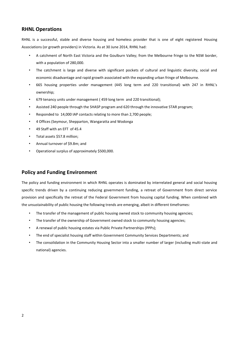## **RHNL Operations**

RHNL is a successful, stable and diverse housing and homeless provider that is one of eight registered Housing Associations (or growth providers) in Victoria. As at 30 June 2014, RHNL had:

- A catchment of North East Victoria and the Goulburn Valley; from the Melbourne fringe to the NSW border, with a population of 280,000.
- The catchment is large and diverse with significant pockets of cultural and linguistic diversity, social and economic disadvantage and rapid growth associated with the expanding urban fringe of Melbourne.
- 665 housing properties under management (445 long term and 220 transitional) with 247 in RHNL's ownership;
- 679 tenancy units under management ( 459 long term and 220 transitional);
- Assisted 240 people through the SHASP program and 620 through the innovative STAR program;
- Responded to 14,000 IAP contacts relating to more than 2,700 people;
- 4 Offices (Seymour, Shepparton, Wangaratta and Wodonga
- 49 Staff with an EFT of 45.4
- Total assets \$57.8 million;
- Annual turnover of \$9.8m; and
- Operational surplus of approximately \$500,000.

# **Policy and Funding Environment**

The policy and funding environment in which RHNL operates is dominated by interrelated general and social housing specific trends driven by a continuing reducing government funding, a retreat of Government from direct service provision and specifically the retreat of the Federal Government from housing capital funding. When combined with the unsustainability of public housing the following trends are emerging, albeit in different timeframes:

- The transfer of the management of public housing owned stock to community housing agencies;
- The transfer of the ownership of Government owned stock to community housing agencies;
- A renewal of public housing estates via Public Private Partnerships (PPPs);
- The end of specialist housing staff within Government Community Services Departments; and
- The consolidation in the Community Housing Sector into a smaller number of larger (including multi-state and national) agencies.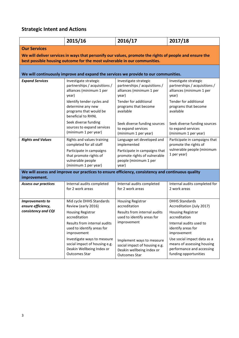# **Strategic Intent and Actions**

|                                                                                                                                                                                      | 2015/16                                                                                                                                                                                                                                                                                        | 2016/17                                                                                                                                                                                                                                   | 2017/18                                                                                                                                                                                                                                                                            |  |  |  |
|--------------------------------------------------------------------------------------------------------------------------------------------------------------------------------------|------------------------------------------------------------------------------------------------------------------------------------------------------------------------------------------------------------------------------------------------------------------------------------------------|-------------------------------------------------------------------------------------------------------------------------------------------------------------------------------------------------------------------------------------------|------------------------------------------------------------------------------------------------------------------------------------------------------------------------------------------------------------------------------------------------------------------------------------|--|--|--|
| <b>Our Services</b>                                                                                                                                                                  |                                                                                                                                                                                                                                                                                                |                                                                                                                                                                                                                                           |                                                                                                                                                                                                                                                                                    |  |  |  |
| We will deliver services in ways that personify our values, promote the rights of people and ensure the<br>best possible housing outcome for the most vulnerable in our communities. |                                                                                                                                                                                                                                                                                                |                                                                                                                                                                                                                                           |                                                                                                                                                                                                                                                                                    |  |  |  |
| We will continuously improve and expand the services we provide to our communities.                                                                                                  |                                                                                                                                                                                                                                                                                                |                                                                                                                                                                                                                                           |                                                                                                                                                                                                                                                                                    |  |  |  |
| <b>Expand Services</b>                                                                                                                                                               | Investigate strategic<br>partnerships / acquisitions /<br>alliances (minimum 1 per<br>year)<br>Identify tender cycles and<br>determine any new<br>programs that would be<br>beneficial to RHNL                                                                                                 | Investigate strategic<br>partnerships / acquisitions /<br>alliances (minimum 1 per<br>year)<br>Tender for additional<br>programs that become<br>available                                                                                 | Investigate strategic<br>partnerships / acquisitions /<br>alliances (minimum 1 per<br>year)<br>Tender for additional<br>programs that become<br>available                                                                                                                          |  |  |  |
|                                                                                                                                                                                      | Seek diverse funding<br>sources to expand services<br>(minimum 1 per year)                                                                                                                                                                                                                     | Seek diverse funding sources<br>to expand services<br>(minimum 1 per year)                                                                                                                                                                | Seek diverse funding sources<br>to expand services<br>(minimum 1 per year)                                                                                                                                                                                                         |  |  |  |
| <b>Rights and Values</b>                                                                                                                                                             | Rights and values training<br>completed for all staff<br>Participate in campaigns<br>that promote rights of<br>vulnerable people<br>(minimum 1 per year)                                                                                                                                       | Language set developed and<br>implemented<br>Participate in campaigns that<br>promote rights of vulnerable<br>people (minimum 1 per<br>year)                                                                                              | Participate in campaigns that<br>promote the rights of<br>vulnerable people (minimum<br>1 per year)                                                                                                                                                                                |  |  |  |
| We will assess and improve our practices to ensure efficiency, consistency and continuous quality<br>improvement.                                                                    |                                                                                                                                                                                                                                                                                                |                                                                                                                                                                                                                                           |                                                                                                                                                                                                                                                                                    |  |  |  |
| <b>Assess our practices</b>                                                                                                                                                          | Internal audits completed<br>for 2 work areas                                                                                                                                                                                                                                                  | Internal audits completed<br>for 2 work areas                                                                                                                                                                                             | Internal audits completed for<br>2 work areas                                                                                                                                                                                                                                      |  |  |  |
| Improvements to<br>ensure efficiency,<br>consistency and CQI                                                                                                                         | Mid cycle DHHS Standards<br>Review (early 2016)<br><b>Housing Registrar</b><br>accreditation<br>Results from internal audits<br>used to identify areas for<br>improvement<br>Investigate ways to measure<br>social impact of housing e.g.<br>Deakin Wellbeing Index or<br><b>Outcomes Star</b> | <b>Housing Registrar</b><br>accreditation<br>Results from internal audits<br>used to identify areas for<br>improvement<br>Implement ways to measure<br>social impact of housing e.g.<br>Deakin wellbeing index or<br><b>Outcomes Star</b> | <b>DHHS Standards</b><br>Accreditation (July 2017)<br><b>Housing Registrar</b><br>accreditation<br>Internal audits used to<br>identify areas for<br>improvement<br>Use social impact data as a<br>means of assessing housing<br>performance and accessing<br>funding opportunities |  |  |  |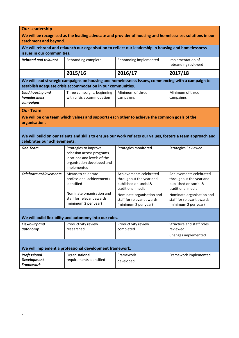| <b>Our Leadership</b>                                                                                                                                             |                                                                                                                                |                                                                                                  |                                                                                                  |  |  |
|-------------------------------------------------------------------------------------------------------------------------------------------------------------------|--------------------------------------------------------------------------------------------------------------------------------|--------------------------------------------------------------------------------------------------|--------------------------------------------------------------------------------------------------|--|--|
| We will be recognised as the leading advocate and provider of housing and homelessness solutions in our<br>catchment and beyond.                                  |                                                                                                                                |                                                                                                  |                                                                                                  |  |  |
| We will rebrand and relaunch our organisation to reflect our leadership in housing and homelessness<br>issues in our communities.                                 |                                                                                                                                |                                                                                                  |                                                                                                  |  |  |
| <b>Rebrand and relaunch</b>                                                                                                                                       | Rebranding complete                                                                                                            | Rebranding implemented                                                                           | Implementation of<br>rebranding reviewed                                                         |  |  |
|                                                                                                                                                                   | 2015/16                                                                                                                        | 2016/17                                                                                          | 2017/18                                                                                          |  |  |
| We will lead strategic campaigns on housing and homelessness issues, commencing with a campaign to<br>establish adequate crisis accommodation in our communities. |                                                                                                                                |                                                                                                  |                                                                                                  |  |  |
| <b>Lead housing and</b><br>homelessness<br>campaigns                                                                                                              | Three campaigns, beginning<br>with crisis accommodation                                                                        | Minimum of three<br>campaigns                                                                    | Minimum of three<br>campaigns                                                                    |  |  |
| <b>Our Team</b>                                                                                                                                                   |                                                                                                                                |                                                                                                  |                                                                                                  |  |  |
| organisation.                                                                                                                                                     |                                                                                                                                | We will be one team which values and supports each other to achieve the common goals of the      |                                                                                                  |  |  |
| We will build on our talents and skills to ensure our work reflects our values, fosters a team approach and<br>celebrates our achievements.                       |                                                                                                                                |                                                                                                  |                                                                                                  |  |  |
| <b>One Team</b>                                                                                                                                                   | Strategies to improve<br>cohesion across programs,<br>locations and levels of the<br>organisation developed and<br>implemented | Strategies monitored                                                                             | <b>Strategies Reviewed</b>                                                                       |  |  |
| <b>Celebrate achievements</b>                                                                                                                                     | Means to celebrate<br>professional achievements<br>identified                                                                  | Achievements celebrated<br>throughout the year and<br>published on social &<br>traditional media | Achievements celebrated<br>throughout the year and<br>published on social &<br>traditional media |  |  |
|                                                                                                                                                                   | Nominate organisation and<br>staff for relevant awards<br>(minimum 2 per year)                                                 | Nominate organisation and<br>staff for relevant awards<br>(minimum 2 per year)                   | Nominate organisation and<br>staff for relevant awards<br>(minimum 2 per year)                   |  |  |
| We will build flexibility and autonomy into our roles.                                                                                                            |                                                                                                                                |                                                                                                  |                                                                                                  |  |  |
| <b>Flexibility and</b><br>autonomy                                                                                                                                | Productivity review<br>researched                                                                                              | Productivity review<br>completed                                                                 | Structure and staff roles<br>reviewed                                                            |  |  |
|                                                                                                                                                                   |                                                                                                                                |                                                                                                  | Changes implemented                                                                              |  |  |
| We will implement a professional development framework.                                                                                                           |                                                                                                                                |                                                                                                  |                                                                                                  |  |  |
| Professional<br><b>Development</b><br><b>Framework</b>                                                                                                            | Organisational<br>requirements identified                                                                                      | Framework<br>developed                                                                           | Framework implemented                                                                            |  |  |
|                                                                                                                                                                   |                                                                                                                                |                                                                                                  |                                                                                                  |  |  |